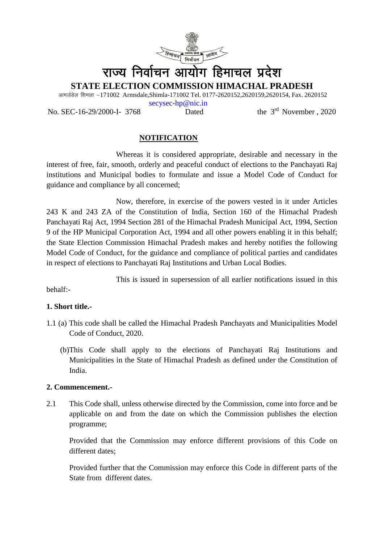

# राज्य निर्वाचन आयोग हिमाचल प्रदेश

**STATE ELECTION COMMISSION HIMACHAL PRADESH**

आमर्जडेल शिमला -171002 Armsdale,Shimla-171002 Tel. 0177-2620152,2620159,2620154, Fax. 2620152

No. SEC-16-29/2000-I- 3768 Dated the 3rd November , 2020

[secysec-hp@nic.in](mailto:secysec-hp@nic.in)

# **NOTIFICATION**

Whereas it is considered appropriate, desirable and necessary in the interest of free, fair, smooth, orderly and peaceful conduct of elections to the Panchayati Raj institutions and Municipal bodies to formulate and issue a Model Code of Conduct for guidance and compliance by all concerned;

Now, therefore, in exercise of the powers vested in it under Articles 243 K and 243 ZA of the Constitution of India, Section 160 of the Himachal Pradesh Panchayati Raj Act, 1994 Section 281 of the Himachal Pradesh Municipal Act, 1994, Section 9 of the HP Municipal Corporation Act, 1994 and all other powers enabling it in this behalf; the State Election Commission Himachal Pradesh makes and hereby notifies the following Model Code of Conduct, for the guidance and compliance of political parties and candidates in respect of elections to Panchayati Raj Institutions and Urban Local Bodies.

This is issued in supersession of all earlier notifications issued in this

behalf:-

# **1. Short title.-**

- 1.1 (a) This code shall be called the Himachal Pradesh Panchayats and Municipalities Model Code of Conduct, 2020.
	- (b)This Code shall apply to the elections of Panchayati Raj Institutions and Municipalities in the State of Himachal Pradesh as defined under the Constitution of India.

### **2. Commencement.-**

2.1 This Code shall, unless otherwise directed by the Commission, come into force and be applicable on and from the date on which the Commission publishes the election programme;

Provided that the Commission may enforce different provisions of this Code on different dates;

Provided further that the Commission may enforce this Code in different parts of the State from different dates.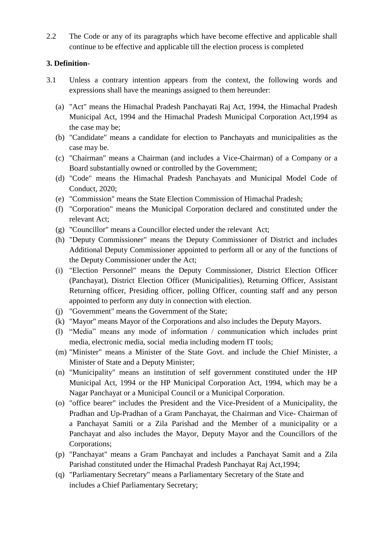2.2 The Code or any of its paragraphs which have become effective and applicable shall continue to be effective and applicable till the election process is completed

### **3. Definition-**

- 3.1 Unless a contrary intention appears from the context, the following words and expressions shall have the meanings assigned to them hereunder:
	- (a) "Act" means the Himachal Pradesh Panchayati Raj Act, 1994, the Himachal Pradesh Municipal Act, 1994 and the Himachal Pradesh Municipal Corporation Act,1994 as the case may be;
	- (b) "Candidate" means a candidate for election to Panchayats and municipalities as the case may be.
	- (c) "Chairman" means a Chairman (and includes a Vice-Chairman) of a Company or a Board substantially owned or controlled by the Government;
	- (d) "Code" means the Himachal Pradesh Panchayats and Municipal Model Code of Conduct, 2020;
	- (e) "Commission" means the State Election Commission of Himachal Pradesh;
	- (f) "Corporation" means the Municipal Corporation declared and constituted under the relevant Act;
	- (g) "Councillor" means a Councillor elected under the relevant Act;
	- (h) "Deputy Commissioner" means the Deputy Commissioner of District and includes Additional Deputy Commissioner appointed to perform all or any of the functions of the Deputy Commissioner under the Act;
	- (i) "Election Personnel" means the Deputy Commissioner, District Election Officer (Panchayat), District Election Officer (Municipalities), Returning Officer, Assistant Returning officer, Presiding officer, polling Officer, counting staff and any person appointed to perform any duty in connection with election.
	- (j) "Government" means the Government of the State;
	- (k) "Mayor" means Mayor of the Corporations and also includes the Deputy Mayors.
	- (l) "Media" means any mode of information / communication which includes print media, electronic media, social media including modern IT tools;
	- (m) "Minister" means a Minister of the State Govt. and include the Chief Minister, a Minister of State and a Deputy Minister;
	- (n) "Municipality" means an institution of self government constituted under the HP Municipal Act, 1994 or the HP Municipal Corporation Act, 1994, which may be a Nagar Panchayat or a Municipal Council or a Municipal Corporation.
	- (o) "office bearer" includes the President and the Vice-President of a Municipality, the Pradhan and Up-Pradhan of a Gram Panchayat, the Chairman and Vice- Chairman of a Panchayat Samiti or a Zila Parishad and the Member of a municipality or a Panchayat and also includes the Mayor, Deputy Mayor and the Councillors of the Corporations;
	- (p) "Panchayat" means a Gram Panchayat and includes a Panchayat Samit and a Zila Parishad constituted under the Himachal Pradesh Panchayat Raj Act,1994;
	- (q) "Parliamentary Secretary" means a Parliamentary Secretary of the State and includes a Chief Parliamentary Secretary;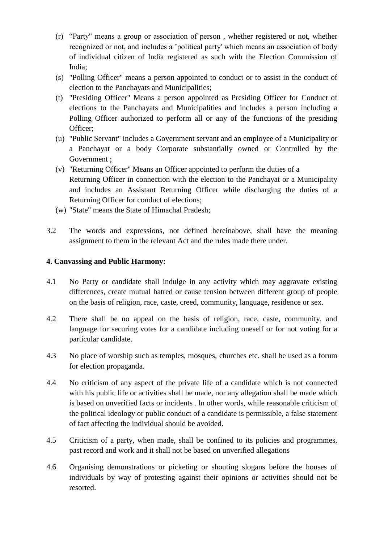- (r) "Party" means a group or association of person , whether registered or not, whether recognized or not, and includes a 'political party' which means an association of body of individual citizen of India registered as such with the Election Commission of India;
- (s) "Polling Officer" means a person appointed to conduct or to assist in the conduct of election to the Panchayats and Municipalities;
- (t) "Presiding Officer" Means a person appointed as Presiding Officer for Conduct of elections to the Panchayats and Municipalities and includes a person including a Polling Officer authorized to perform all or any of the functions of the presiding Officer;
- (u) "Public Servant" includes a Government servant and an employee of a Municipality or a Panchayat or a body Corporate substantially owned or Controlled by the Government ;
- (v) "Returning Officer" Means an Officer appointed to perform the duties of a Returning Officer in connection with the election to the Panchayat or a Municipality and includes an Assistant Returning Officer while discharging the duties of a Returning Officer for conduct of elections;
- (w) "State" means the State of Himachal Pradesh;
- 3.2 The words and expressions, not defined hereinabove, shall have the meaning assignment to them in the relevant Act and the rules made there under.

### **4. Canvassing and Public Harmony:**

- 4.1 No Party or candidate shall indulge in any activity which may aggravate existing differences, create mutual hatred or cause tension between different group of people on the basis of religion, race, caste, creed, community, language, residence or sex.
- 4.2 There shall be no appeal on the basis of religion, race, caste, community, and language for securing votes for a candidate including oneself or for not voting for a particular candidate.
- 4.3 No place of worship such as temples, mosques, churches etc. shall be used as a forum for election propaganda.
- 4.4 No criticism of any aspect of the private life of a candidate which is not connected with his public life or activities shall be made, nor any allegation shall be made which is based on unverified facts or incidents . ln other words, while reasonable criticism of the political ideology or public conduct of a candidate is permissible, a false statement of fact affecting the individual should be avoided.
- 4.5 Criticism of a party, when made, shall be confined to its policies and programmes, past record and work and it shall not be based on unverified allegations
- 4.6 Organising demonstrations or picketing or shouting slogans before the houses of individuals by way of protesting against their opinions or activities should not be resorted.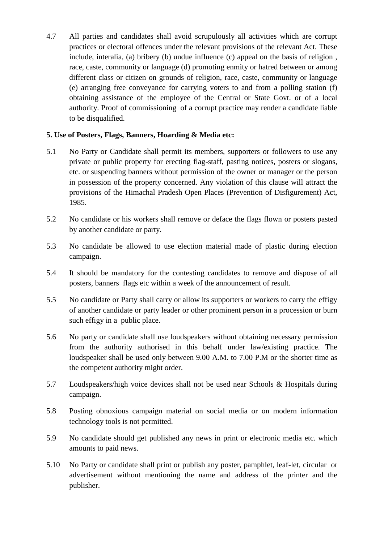4.7 All parties and candidates shall avoid scrupulously all activities which are corrupt practices or electoral offences under the relevant provisions of the relevant Act. These include, interalia, (a) bribery (b) undue influence (c) appeal on the basis of religion , race, caste, community or language (d) promoting enmity or hatred between or among different class or citizen on grounds of religion, race, caste, community or language (e) arranging free conveyance for carrying voters to and from a polling station (f) obtaining assistance of the employee of the Central or State Govt. or of a local authority. Proof of commissioning of a corrupt practice may render a candidate liable to be disqualified.

### **5. Use of Posters, Flags, Banners, Hoarding & Media etc:**

- 5.1 No Party or Candidate shall permit its members, supporters or followers to use any private or public property for erecting flag-staff, pasting notices, posters or slogans, etc. or suspending banners without permission of the owner or manager or the person in possession of the property concerned. Any violation of this clause will attract the provisions of the Himachal Pradesh Open Places (Prevention of Disfigurement) Act, 1985.
- 5.2 No candidate or his workers shall remove or deface the flags flown or posters pasted by another candidate or party.
- 5.3 No candidate be allowed to use election material made of plastic during election campaign.
- 5.4 It should be mandatory for the contesting candidates to remove and dispose of all posters, banners flags etc within a week of the announcement of result.
- 5.5 No candidate or Party shall carry or allow its supporters or workers to carry the effigy of another candidate or party leader or other prominent person in a procession or burn such effigy in a public place.
- 5.6 No party or candidate shall use loudspeakers without obtaining necessary permission from the authority authorised in this behalf under law/existing practice. The loudspeaker shall be used only between 9.00 A.M. to 7.00 P.M or the shorter time as the competent authority might order.
- 5.7 Loudspeakers/high voice devices shall not be used near Schools & Hospitals during campaign.
- 5.8 Posting obnoxious campaign material on social media or on modern information technology tools is not permitted.
- 5.9 No candidate should get published any news in print or electronic media etc. which amounts to paid news.
- 5.10 No Party or candidate shall print or publish any poster, pamphlet, leaf-let, circular or advertisement without mentioning the name and address of the printer and the publisher.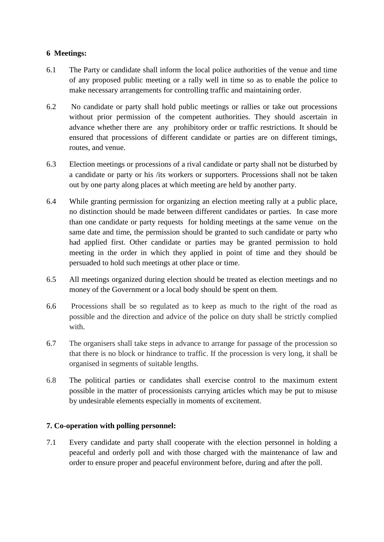### **6 Meetings:**

- 6.1 The Party or candidate shall inform the local police authorities of the venue and time of any proposed public meeting or a rally well in time so as to enable the police to make necessary arrangements for controlling traffic and maintaining order.
- 6.2 No candidate or party shall hold public meetings or rallies or take out processions without prior permission of the competent authorities. They should ascertain in advance whether there are any prohibitory order or traffic restrictions. It should be ensured that processions of different candidate or parties are on different timings, routes, and venue.
- 6.3 Election meetings or processions of a rival candidate or party shall not be disturbed by a candidate or party or his /its workers or supporters. Processions shall not be taken out by one party along places at which meeting are held by another party.
- 6.4 While granting permission for organizing an election meeting rally at a public place, no distinction should be made between different candidates or parties. In case more than one candidate or party requests for holding meetings at the same venue on the same date and time, the permission should be granted to such candidate or party who had applied first. Other candidate or parties may be granted permission to hold meeting in the order in which they applied in point of time and they should be persuaded to hold such meetings at other place or time.
- 6.5 All meetings organized during election should be treated as election meetings and no money of the Government or a local body should be spent on them.
- 6.6 Processions shall be so regulated as to keep as much to the right of the road as possible and the direction and advice of the police on duty shall be strictly complied with.
- 6.7 The organisers shall take steps in advance to arrange for passage of the procession so that there is no block or hindrance to traffic. If the procession is very long, it shall be organised in segments of suitable lengths.
- 6.8 The political parties or candidates shall exercise control to the maximum extent possible in the matter of processionists carrying articles which may be put to misuse by undesirable elements especially in moments of excitement.

### **7. Co-operation with polling personnel:**

7.1 Every candidate and party shall cooperate with the election personnel in holding a peaceful and orderly poll and with those charged with the maintenance of law and order to ensure proper and peaceful environment before, during and after the poll.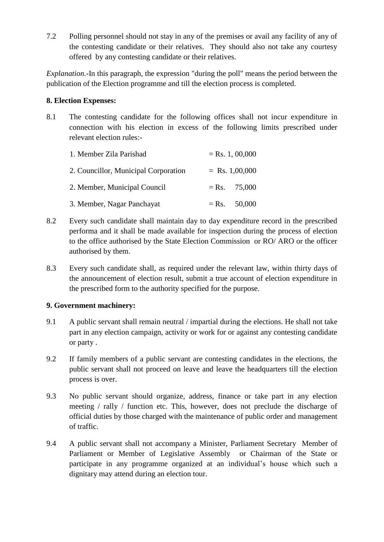7.2 Polling personnel should not stay in any of the premises or avail any facility of any of the contesting candidate or their relatives. They should also not take any courtesy offered by any contesting candidate or their relatives.

*Explanation.-*In this paragraph, the expression "during the poll" means the period between the publication of the Election programme and till the election process is completed.

### **8. Election Expenses:**

8.1 The contesting candidate for the following offices shall not incur expenditure in connection with his election in excess of the following limits prescribed under relevant election rules:-

| 1. Member Zila Parishad              | $=$ Rs. 1, 00,000 |                  |
|--------------------------------------|-------------------|------------------|
| 2. Councillor, Municipal Corporation |                   | $=$ Rs. 1,00,000 |
| 2. Member, Municipal Council         |                   | $=$ Rs. 75,000   |
| 3. Member, Nagar Panchayat           |                   | $=$ Rs. 50,000   |

- 8.2 Every such candidate shall maintain day to day expenditure record in the prescribed performa and it shall be made available for inspection during the process of election to the office authorised by the State Election Commission or RO/ ARO or the officer authorised by them.
- 8.3 Every such candidate shall, as required under the relevant law, within thirty days of the announcement of election result, submit a true account of election expenditure in the prescribed form to the authority specified for the purpose.

### **9. Government machinery:**

- 9.1 A public servant shall remain neutral / impartial during the elections. He shall not take part in any election campaign, activity or work for or against any contesting candidate or party .
- 9.2 If family members of a public servant are contesting candidates in the elections, the public servant shall not proceed on leave and leave the headquarters till the election process is over.
- 9.3 No public servant should organize, address, finance or take part in any election meeting / rally / function etc. This, however, does not preclude the discharge of official duties by those charged with the maintenance of public order and management of traffic.
- 9.4 A public servant shall not accompany a Minister, Parliament Secretary Member of Parliament or Member of Legislative Assembly or Chairman of the State or participate in any programme organized at an individual's house which such a dignitary may attend during an election tour.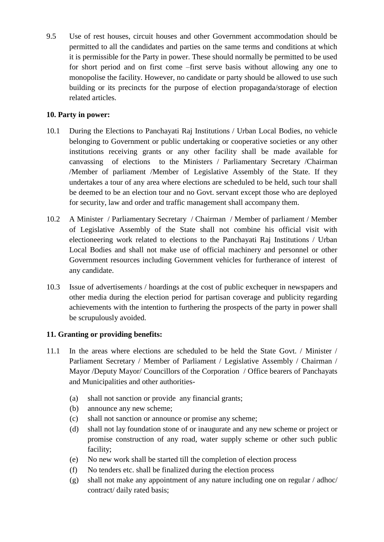9.5 Use of rest houses, circuit houses and other Government accommodation should be permitted to all the candidates and parties on the same terms and conditions at which it is permissible for the Party in power. These should normally be permitted to be used for short period and on first come –first serve basis without allowing any one to monopolise the facility. However, no candidate or party should be allowed to use such building or its precincts for the purpose of election propaganda/storage of election related articles.

### **10. Party in power:**

- 10.1 During the Elections to Panchayati Raj Institutions / Urban Local Bodies, no vehicle belonging to Government or public undertaking or cooperative societies or any other institutions receiving grants or any other facility shall be made available for canvassing of elections to the Ministers / Parliamentary Secretary /Chairman /Member of parliament /Member of Legislative Assembly of the State. If they undertakes a tour of any area where elections are scheduled to be held, such tour shall be deemed to be an election tour and no Govt. servant except those who are deployed for security, law and order and traffic management shall accompany them.
- 10.2 A Minister / Parliamentary Secretary / Chairman / Member of parliament / Member of Legislative Assembly of the State shall not combine his official visit with electioneering work related to elections to the Panchayati Raj Institutions / Urban Local Bodies and shall not make use of official machinery and personnel or other Government resources including Government vehicles for furtherance of interest of any candidate.
- 10.3 Issue of advertisements / hoardings at the cost of public exchequer in newspapers and other media during the election period for partisan coverage and publicity regarding achievements with the intention to furthering the prospects of the party in power shall be scrupulously avoided.

# **11. Granting or providing benefits:**

- 11.1 In the areas where elections are scheduled to be held the State Govt. / Minister / Parliament Secretary / Member of Parliament / Legislative Assembly / Chairman / Mayor /Deputy Mayor/ Councillors of the Corporation / Office bearers of Panchayats and Municipalities and other authorities-
	- (a) shall not sanction or provide any financial grants;
	- (b) announce any new scheme;
	- (c) shall not sanction or announce or promise any scheme;
	- (d) shall not lay foundation stone of or inaugurate and any new scheme or project or promise construction of any road, water supply scheme or other such public facility;
	- (e) No new work shall be started till the completion of election process
	- (f) No tenders etc. shall be finalized during the election process
	- (g) shall not make any appointment of any nature including one on regular / adhoc/ contract/ daily rated basis;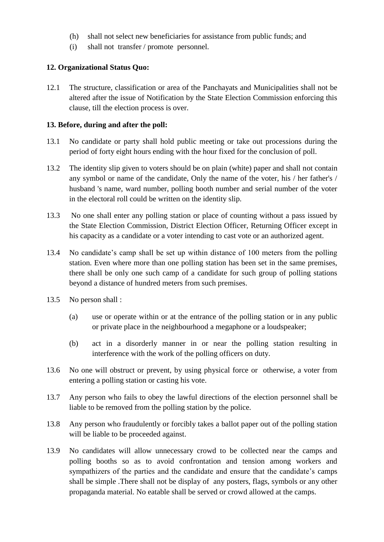- (h) shall not select new beneficiaries for assistance from public funds; and
- (i) shall not transfer / promote personnel.

### **12. Organizational Status Quo:**

12.1 The structure, classification or area of the Panchayats and Municipalities shall not be altered after the issue of Notification by the State Election Commission enforcing this clause, till the election process is over.

#### **13. Before, during and after the poll:**

- 13.1 No candidate or party shall hold public meeting or take out processions during the period of forty eight hours ending with the hour fixed for the conclusion of poll.
- 13.2 The identity slip given to voters should be on plain (white) paper and shall not contain any symbol or name of the candidate, Only the name of the voter, his / her father's / husband 's name, ward number, polling booth number and serial number of the voter in the electoral roll could be written on the identity slip.
- 13.3 No one shall enter any polling station or place of counting without a pass issued by the State Election Commission, District Election Officer, Returning Officer except in his capacity as a candidate or a voter intending to cast vote or an authorized agent.
- 13.4 No candidate's camp shall be set up within distance of 100 meters from the polling station. Even where more than one polling station has been set in the same premises, there shall be only one such camp of a candidate for such group of polling stations beyond a distance of hundred meters from such premises.
- 13.5 No person shall :
	- (a) use or operate within or at the entrance of the polling station or in any public or private place in the neighbourhood a megaphone or a loudspeaker;
	- (b) act in a disorderly manner in or near the polling station resulting in interference with the work of the polling officers on duty.
- 13.6 No one will obstruct or prevent, by using physical force or otherwise, a voter from entering a polling station or casting his vote.
- 13.7 Any person who fails to obey the lawful directions of the election personnel shall be liable to be removed from the polling station by the police.
- 13.8 Any person who fraudulently or forcibly takes a ballot paper out of the polling station will be liable to be proceeded against.
- 13.9 No candidates will allow unnecessary crowd to be collected near the camps and polling booths so as to avoid confrontation and tension among workers and sympathizers of the parties and the candidate and ensure that the candidate's camps shall be simple .There shall not be display of any posters, flags, symbols or any other propaganda material. No eatable shall be served or crowd allowed at the camps.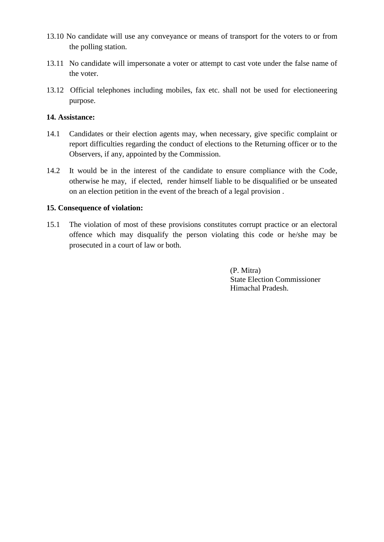- 13.10 No candidate will use any conveyance or means of transport for the voters to or from the polling station.
- 13.11 No candidate will impersonate a voter or attempt to cast vote under the false name of the voter.
- 13.12 Official telephones including mobiles, fax etc. shall not be used for electioneering purpose.

### **14. Assistance:**

- 14.1 Candidates or their election agents may, when necessary, give specific complaint or report difficulties regarding the conduct of elections to the Returning officer or to the Observers, if any, appointed by the Commission.
- 14.2 It would be in the interest of the candidate to ensure compliance with the Code, otherwise he may, if elected, render himself liable to be disqualified or be unseated on an election petition in the event of the breach of a legal provision .

#### **15. Consequence of violation:**

15.1 The violation of most of these provisions constitutes corrupt practice or an electoral offence which may disqualify the person violating this code or he/she may be prosecuted in a court of law or both.

> (P. Mitra) State Election Commissioner Himachal Pradesh.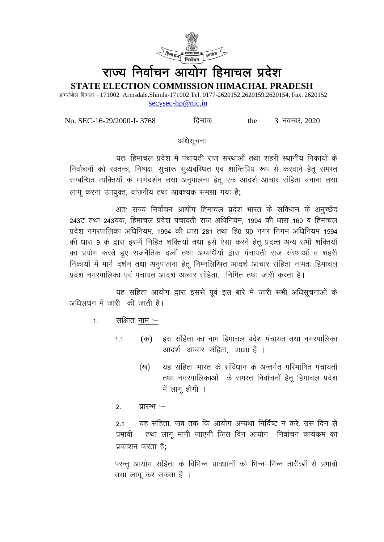

# राज्य निर्वाचन आयोग हिमाचल प्रदेश

STATE ELECTION COMMISSION HIMACHAL PRADESH

आमर्जडेल शिमला -171002 Armsdale, Shimla-171002 Tel. 0177-2620152, 2620159, 2620154, Fax. 2620152 secysec-hp@nic.in

No. SEC-16-29/2000-I-3768

दिनांक

3 नवम्बर, 2020 the

### अधिसचना

यतः हिमाचल प्रदेश में पंचायती राज संस्थाओं तथा शहरी स्थानीय निकायों के निर्वाचनों को स्वतन्त्र, निष्पक्ष, सूचारू सूव्यवस्थित एवं शान्तिप्रिय रूप से करवाने हेतु समस्त सम्बन्धित व्यक्तियों के मार्गदर्शन तथा अनुपालना हेतू एक आदर्श आचार संहिता बनाना तथा लागू करना उपयुक्त, वांछनीय तथा आवश्यक समझा गया है;

अतः राज्य निर्वाचन आयोग हिमाचल प्रदेश भारत के संविधान के अनुच्छेद 243ट तथा 243यक. हिमाचल प्रदेश पंचायती राज अधिनियम. 1994 की धारा 160 व हिमाचल प्रदेश नगरपालिका अधिनियम. 1994 की धारा 281 तथा हि0 प्र0 नगर निगम अधिनियम 1994 की धारा 9 के द्वारा इसमें निहित शक्तियों तथा इसे ऐसा करने हेतु प्रदत्त अन्य सभी शक्तियों का प्रयोग करते हुए राजनैतिक दलों तथा अभ्यर्थियों द्वारा पंचायती राज संस्थाओं व शहरी निकायों में मार्ग दर्शन तथा अनुपालना हेतु निम्नलिखित आदर्श आचार संहिता नामतः हिमाचल प्रदेश नगरपालिका एवं पचायत आदर्श आचार संहिता. निर्मित तथा जारी करता है।

यह संहिता आयोग द्वारा इससे पूर्व इस बारे में जारी सभी अधिसूचनाओं के अधिलंघन में जारी की जाती है।

- संक्षिप्त नाम :- $1<sup>1</sup>$ 
	- (क) इस संहिता का नाम हिमाचल प्रदेश पंचायत तथा नगरपालिका  $1.1$ आदर्श आचार संहिता. 2020 है ।
		- यह संहिता भारत के संविधान के अन्तर्गत परिभाषित पंचायतों (ख) तथा नगरपालिकाओं के समस्त निर्वाचनों हेतू हिमाचल प्रदेश में लागू होगी ।
	- $2.$ प्रारम्भ :-

यह संहिता, जब तक कि आयोग अन्यथा निर्दिष्ट न करे, उस दिन से  $2.1$ तथा लाग मानी जाएगी जिस दिन आयोग निर्वाचन कार्यक्रम का प्रभावी प्रकाशन करता है:

परन्तू आयोग संहिता के विभिन्न प्रावधानों को भिन्न–भिन्न तारीखों से प्रभावी तथा लागू कर सकता है ।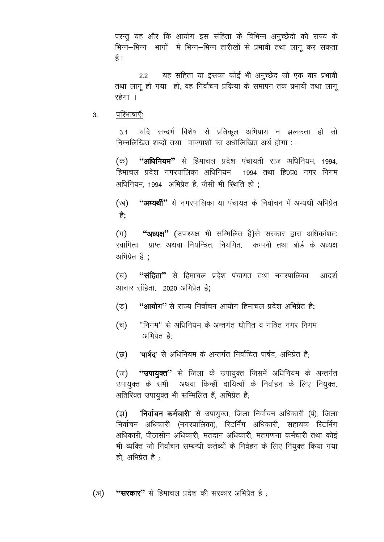परन्तु यह और कि आयोग इस संहिता के विभिन्न अनुच्छेदों को राज्य के भिन्न–भिन्न भागों में भिन्न–भिन्न तारीखों से प्रभावी तथा लागू कर सकता है ।

यह संहिता या इसका कोई भी अनुच्छेद जो एक बार प्रभावी  $22$ तथा लागू हो गया) हो, वह निर्वाचन प्रकिया के समापन तक प्रभावी तथा लागू रहेगा ।

परिभाषाएँः 3.

> यदि सन्दर्भ विशेष से प्रतिकूल अभिप्राय न झलकता हो तो  $3<sub>1</sub>$ निम्नलिखित शब्दों तथा वाक्याशों का अधोलिखित अर्थ होगा :--

> **''अधिनियम''** से हिमाचल प्रदेश पंचायती राज अधिनियम, 1994, (क) हिमाचल प्रदेश नगरपालिका अधिनियम 1994 तथा हि0प्र0 नगर निगम अधिनियम, 1994 अभिप्रेत है, जैसी भी स्थिति हो;

> **''अभ्यर्थी''** से नगरपालिका या पंचायत के निर्वाचन में अभ्यर्थी अभिप्रेत (ख) है:

> **''अध्यक्ष''** (उपाध्यक्ष भी सम्मिलित है)से सरकार द्वारा अधिकांशतः  $(\pi)$ स्वामित्व प्राप्त अथवा नियन्त्रित. नियमित. कम्पनी तथा बोर्ड के अध्यक्ष अभिप्रेत है :

> (घ) **''संहिता''** से हिमाचल प्रदेश पंचायत तथा नगरपालिका आदर्श आचार संहिता. 2020 अभिप्रेत है:

- **''आयोग''** से राज्य निर्वाचन आयोग हिमाचल प्रदेश अभिप्रेत है:  $(\vec{v})$
- "निगम" से अधिनियम के अन्तर्गत घोषित व गठित नगर निगम (च) अभिप्रेत है.
- **'पार्षद'** से अधिनियम के अन्तर्गत निर्वाचित पार्षद, अभिप्रेत है<sup>.</sup>  $(\overline{v})$

"उपायुक्त" से जिला के उपायुक्त जिसमें अधिनियम के अन्तर्गत  $(\overline{v})$ उपायुक्त के सभी अथवा किन्हीं दायित्वों के निर्वाहन के लिए नियुक्त, अतिरिक्त उपायुक्त भी सम्मिलित हैं, अभिप्रेत है;

**'निर्वाचन कर्मचारी'** से उपायुक्त, जिला निर्वाचन अधिकारी (पं), जिला  $(\overline{3})$ निर्वाचन अधिकारी (नगरपालिका), रिटर्निंग अधिकारी, सहायक रिटर्निंग अधिकारी, पीठासीन अधिकारी, मतदान अधिकारी, मतगणना कर्मचारी तथा कोई भी व्यक्ति जो निर्वाचन सम्बन्धी कर्तव्यों के निर्वहन के लिए नियुक्त किया गया हो, अभिप्रेत है $\pm$ 

**''सरकार''** से हिमाचल प्रदेश की सरकार अभिप्रेत है : (স)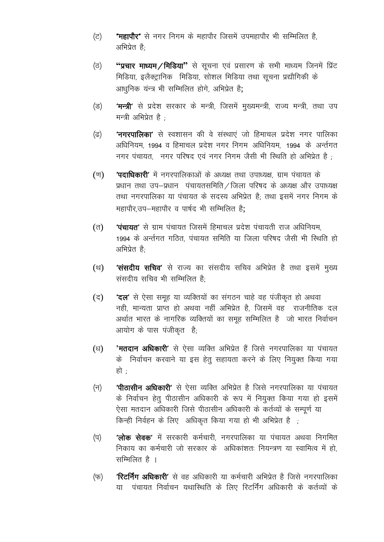- **"महापौर"** से नगर निगम के महापौर जिसमें उपमहापौर भी सम्मिलित है, (ਟ) अभिप्रेत है.
- "प्रचार माध्यम/मिडिया" से सूचना एवं प्रसारण के सभी माध्यम जिनमें प्रिंट (ਰ) मिडिया, इलैक्ट्रानिक मिडिया, सोशल मिडिया तथा सूचना प्रद्यौगिकी के आधुनिक यन्त्र भी सम्मिलित होगे, अभिप्रेत है;
- **'मन्त्री'** से प्रदेश सरकार के मन्त्री, जिसमें मुख्यमन्त्री, राज्य मन्त्री, तथा उप (ड) मन्त्री अभिप्रेत है $\cdot$
- 'नगरपालिका' से स्वशासन की वे संस्थाएं जो हिमाचल प्रदेश नगर पालिका  $(\vec{a})$ अधिनियम, 1994 व हिमाचल प्रदेश नगर निगम अधिनियम, 1994 के अर्न्तगत नगर पंचायत. नगर परिषद एवं नगर निगम जैसी भी स्थिति हो अभिप्रेत है:
- **'पदाधिकारी'** में नगरपालिकाओं के अध्यक्ष तथा उपाध्यक्ष, ग्राम पंचायत के  $(\overline{\mathbb{U}})$ प्रधान तथा उप-प्रधान पंचायतसमिति / जिला परिषद के अध्यक्ष और उपाध्यक्ष तथा नगरपालिका या पंचायत के सदस्य अभिप्रेत है; तथा इसमें नगर निगम के महापौर उप-महापौर व पार्षद भी सम्मिलित है:
- **'पंचायत'** से ग्राम पंचायत जिसमें हिमाचल प्रदेश पंचायती राज अधिनियम,  $(\overline{d})$ 1994 के अर्न्तगत गठित, पंचायत समिति या जिला परिषद जैसी भी स्थिति हो अभिप्रेत है:
- **'संसदीय सचिव'** से राज्य का संसदीय सचिव अभिप्रेत है तथा इसमें मुख्य  $(8)$ संसदीय सचिव भी सम्मिलित है
- 'दल' से ऐसा समूह या व्यक्तियों का संगठन चाहे वह पंजीकृत हो अथवा (द) नही, मान्यता प्राप्त हो अथवा नहीं अभिप्रेत है, जिसमें वह राजनीतिक दल अर्थात भारत के नागरिक व्यक्तियों का समूह सम्मिलित है जो भारत निर्वाचन आयोग के पास पंजीकृत है;
- **'मतदान अधिकारी**' से ऐसा व्यक्ति अभिप्रेत हैं जिसे नगरपालिका या पंचायत  $(\mathbb{F})$ के निर्वाचन करवाने या इस हेतु सहायता करने के लिए नियुक्त किया गया हो -
- **'पीठासीन अधिकारी'** से ऐसा व्यक्ति अभिप्रेत है जिसे नगरपालिका या पंचायत  $(\overline{\mathbf{d}})$ के निर्वाचन हेतू पीठासीन अधिकारी के रूप में नियुक्त किया गया हो इसमें ऐसा मतदान अधिकारी जिसे पीठासीन अधिकारी के कर्तव्यों के सम्पूर्ण या किन्ही निर्वहन के लिए अधिकृत किया गया हो भी अभिप्रेत है
- 'लोक सेवक' में सरकारी कर्मचारी, नगरपालिका या पंचायत अथवा निगमित  $(\overline{q})$ निकाय का कर्मचारी जो सरकार के अधिकांशत: नियन्त्रण या स्वामित्व में हो सम्मिलित है ।
- **'रिटर्निंग अधिकारी'** से वह अधिकारी या कर्मचारी अभिप्रेत है जिसे नगरपालिका (फ) या पंचायत निर्वाचन यथास्थिति के लिए रिटर्निंग अधिकारी के कर्तव्यों के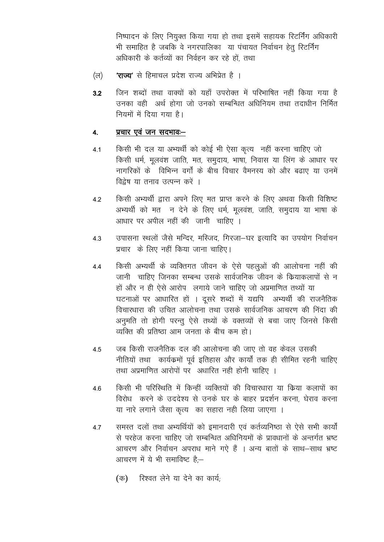निष्पादन के लिए नियुक्त किया गया हो तथा इसमें सहायक रिटर्निंग अधिकारी भी समाहित है जबकि वे नगरपालिका या पंचायत निर्वाचन हेतू रिटर्निंग अधिकारी के कर्तव्यों का निर्वहन कर रहे हों. तथा

- **'राज्य'** से हिमाचल प्रदेश राज्य अभिप्रेत है । (ল)
- जिन शब्दों तथा वाक्यों को यहाँ उपरोक्त में परिभाषित नहीं किया गया है  $3.2$ उनका वही अर्थ होगा जो उनको सम्बन्धित अधिनियम तथा तदाधीन निर्मित नियमों में दिया गया है।

#### प्रचार एवं जन सदभावः- $\overline{4}$ .

- किसी भी दल या अभ्यर्थी को कोई भी ऐसा कृत्य नहीं करना चाहिए जो  $4.1$ किसी धर्म, मुलवंश जाति, मत, समुदाय, भाषा, निवास या लिंग के आधार पर नागरिकों के विभिन्न वर्गों के बीच विचार वैमनस्य को और बढाए या उनमें विद्रेष या तनाव उत्पन्न करें ।
- किसी अभ्यर्थी द्वारा अपने लिए मत प्राप्त करने के लिए अथवा किसी विशिष्ट  $4.2$ अभ्यर्थी को मत न देने के लिए धर्म, मूलवंश, जाति, समुदाय या भाषा के आधार पर अपील नहीं की जानी चाहिए ।
- उपासना स्थलों जैसे मन्दिर, मस्जिद, गिरजा-घर इत्यादि का उपयोग निर्वाचन  $4.3$ प्रचार के लिए नहीं किया जाना चाहिए।
- किसी अभ्यर्थी के व्यक्तिगत जीवन के ऐसे पहलुओं की आलोचना नहीं की 4.4 जानी चाहिए जिनका सम्बन्ध उसके सार्वजनिक जीवन के क्रियाकलापों से न हों और न ही ऐसे आरोप लगाये जाने चाहिए जो अप्रमाणित तथ्यों या घटनाओं पर आधारित हों । दूसरे शब्दों में यद्यपि अभ्यर्थी की राजनैतिक विचारधारा की उचित आलोचना तथा उसके सार्वजनिक आचरण की निंदा की अनुमति तो होगी परन्तु ऐसे तथ्यों के वक्तव्यों से बचा जाए जिनसे किसी व्यक्ति की प्रतिष्ठा आम जनता के बीच कम हो।
- जब किसी राजनैतिक दल की आलोचना की जाए तो वह केवल उसकी  $4.5$ नीतियों तथा कार्यक्रमों पूर्व इतिहास और कार्यों तक ही सीमित रहनी चाहिए तथा अप्रमाणित आरोपों पर अधारित नही होनी चाहिए ।
- किसी भी परिस्थिति में किन्हीं व्यक्तियों की विचारधारा या क्रिया कलापों का 4.6 विरोध करने के उददेश्य से उनके घर के बाहर प्रदर्शन करना, घेराव करना या नारे लगाने जैसा कृत्य का सहारा नही लिया जाएगा ।
- समस्त दलों तथा अभ्यर्थियों को इमानदारी एवं कर्तव्यनिष्ठा से ऐसे सभी कार्यों 47 से परहेज करना चाहिए जो सम्बन्धित अधिनियमों के प्रावधानों के अन्तर्गत भ्रष्ट आचरण और निर्वाचन अपराध माने गऐ हैं । अन्य बातों के साथ-साथ भ्रष्ट आचरण में ये भी समाविष्ट है:-
	- (क) रिश्वत लेने या देने का कार्य;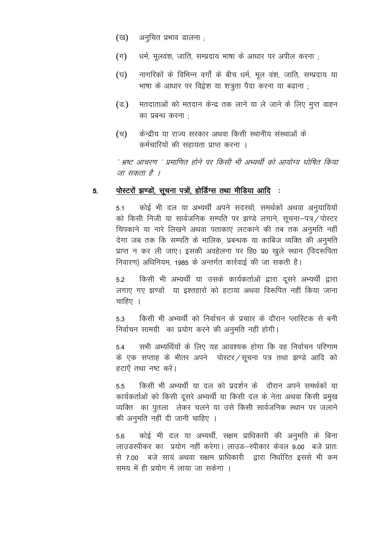- (ख) अनुचित प्रभाव डालना ;
- धर्म, मुलवंश, जाति, सम्प्रदाय भाषा के आधार पर अपील करना ;  $(\pi)$
- नागरिकों के विभिन्न वर्गों के बीच धर्म, मूल वंश, जाति, सम्प्रदाय या (घ) भाषा के आधार पर विद्वेश या शत्रुता पैदा करना या बढाना ;
- $(\vec{s})$ मतदाताओं को मतदान केन्द्र तक लाने या ले जाने के लिए मूप्त वाहन का प्रबन्ध करना :
- केन्द्रीय या राज्य सरकार अथवा किसी स्थानीय संस्थाओं के (च) कर्मचारियों की सहायता प्राप्त करना ।

' भ्रष्ट आचरण ' प्रमाणित होने पर किसी भी अभ्यर्थी को आयोग्य घोषित किया जा सकता है ।

#### पोस्टरों झण्डों, सूचना पत्रों, होर्डिग्स तथा मीडिया आदि : 5.

कोई भी दल या अभ्यर्थी अपने सदस्यों, समर्थकों अथवा अनुयायियों  $5.1$ को किसी निजी या सार्वजनिक सम्पति पर झण्डे लगाने, सूचना-पत्र/पोस्टर चिपकाने या नारे लिखने अथवा पताकाएं लटकाने की तब तक अनुमति नहीं देगा जब तक कि सम्पति के मालिक, प्रबन्धक या काबिज व्यक्ति की अनुमति प्राप्त न कर ली जाए। इसकी अवहेलना पर हि0 प्र0 खुले स्थान (विदरूपिता निवारण) अधिनियम, 1985 के अन्तर्गत कार्रवाई की जा सकती है।

किसी भी अभ्यर्थी या उसके कार्यकर्ताओं द्वारा दूसरे अभ्यर्थी द्वारा  $5.2$ लगाए गए झण्डों या इश्तहारों को हटाया अथवा विरूपित नहीं किया जाना चाहिए ।

किसी भी अभ्यर्थी को निर्वाचन के प्रचाार के दौरान प्लास्टिक से बनी 5.3 निर्वाचन सामग्री का प्रयोग करने की अनुमति नहीं होगी।

सभी अभ्यर्थियों के लिए यह आवश्यक होगा कि वह निर्वाचन परिणाम 5.4 के एक सप्ताह के भीतर अपने पोस्टर / सूचना पत्र तथा झण्डे आदि को हटाएँ तथा नष्ट करें।

किसी भी अभ्यर्थी या दल को प्रदर्शन के दौरान अपने समर्थकों या 5.5 कार्यकर्ताओं को किसी दूसरे अभ्यर्थी या किसी दल के नेता अथवा किसी प्रमुख व्यक्ति का पुतला लेकर चलने या उसे किसी सार्वजनिक स्थान पर जलाने की अनुमति नहीं दी जानी चाहिए ।

कोई भी दल या अभ्यर्थी, सक्षम प्राधिकारी की अनुमति के बिना 5.6 लाउडस्पीकर का प्रयोग नहीं करेगा। लाउड–स्पीकार केवल 9.00 बजे प्रातः से 7.00 बजे सायं अथवा सक्षम प्राधिकारी द्वारा निर्धारित इससे भी कम समय में ही प्रयोग में लाया जा सकेगा ।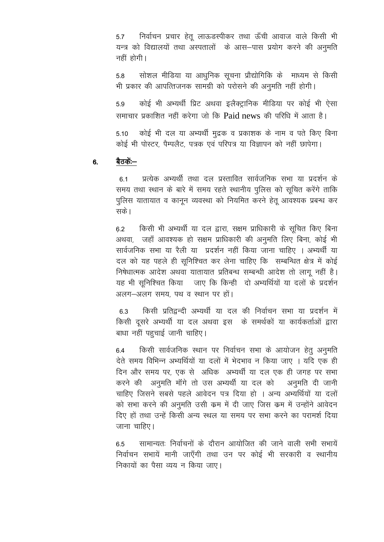निर्वाचन प्रचार हेतू लाऊडस्पीकर तथा ऊँची आवाज वाले किसी भी 5.7 यन्त्र को विद्यालयों तथा अस्पतालों के आस-पास प्रयोग करने की अनुमति नहीं होगी।

सोशल मीडिया या आधुनिक सूचना प्रौद्योगिकि के माध्यम से किसी 5.8 भी प्रकार की आपत्तिजनक सामग्री को परोसने की अनुमति नहीं होगी।

कोई भी अभ्यर्थी प्रिट अथवा इलैक्ट्रानिक मीडिया पर कोई भी ऐसा 5.9 समाचार प्रकाशित नहीं करेगा जो कि Paid news की परिधि में आता है।

कोई भी दल या अभ्यर्थी मुद्रक व प्रकाशक के नाम व पते किए बिना 5.10 कोई भी पोस्टर, पैम्पलैट, पत्रक एवं परिपत्र या विज्ञापन को नहीं छापेगा।

#### बैठकें:--6.

प्रत्येक अभ्यर्थी तथा दल प्रस्तावित सार्वजनिक सभा या प्रदर्शन के 61 समय तथा स्थान के बारे में समय रहते स्थानीय पुलिस को सुचित करेंगे ताकि पुलिस यातायात व कानुन व्यवस्था को नियमित करने हेतु आवश्यक प्रबन्ध कर सकें।

किसी भी अभ्यर्थी या दल द्वारा, सक्षम प्राधिकारी के सूचित किए बिना  $6.2$ अथवा, जहाँ आवश्यक हो सक्षम प्राधिकारी की अनुमति लिए बिना, कोई भी सार्वजनिक सभा या रैली या प्रदर्शन नहीं किया जाना चाहिए । अभ्यर्थी या दल को यह पहले ही सुनिश्चित कर लेना चाहिए कि सम्बन्धित क्षेत्र में कोई निषेधात्मक आदेश अथवा यातायात प्रतिबन्ध सम्बन्धी आदेश तो लागू नहीं है। यह भी सुनिश्चित किया जाए कि किन्ही दो अभ्यर्थियों या दलों के प्रदर्शन अलग-अलग समय, पथ व स्थान पर हों।

किसी प्रतिद्वन्दी अभ्यर्थी या दल की निर्वाचन सभा या प्रदर्शन में 6.3 किसी दूसरे अभ्यर्थी या दल अथवा इस के समर्थकों या कार्यकर्ताओं द्वारा बाधा नहीं पहुचाई जानी चाहिए।

किसी सार्वजनिक स्थान पर निर्वाचन सभा के आयोजन हेतू अनुमति 64 देते समय विभिन्न अभ्यर्थियों या दलों में भेदभाव न किया जाए । यदि एक ही दिन और समय पर, एक से अधिक अभ्यर्थी या दल एक ही जगह पर सभा करने की अनुमति मॉंगे तो उस अभ्यर्थी या दल को अनुमति दी जानी चाहिए जिसने सबसे पहले आवेदन पत्र दिया हो । अन्य अभ्यर्थियों या दलों को सभा करने की अनुमति उसी कम में दी जाए जिस कम में उन्होंने आवेदन दिए हों तथा उन्हें किसी अन्य स्थल या समय पर सभा करने का परामर्श दिया जाना चाहिए।

सामान्यतः निर्वाचनों के दौरान आयोजित की जाने वाली सभी सभायें  $6.5$ निर्वाचन सभायें मानी जाएँगी तथा उन पर कोई भी सरकारी व स्थानीय निकायों का पैसा व्यय न किया जाए।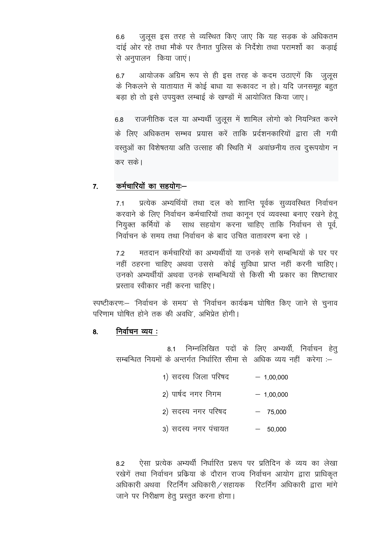जुलूस इस तरह से व्यस्थित किए जाए कि यह सड़क के अधिकतम 6.6 दाई ओर रहे तथा मौके पर तैनात पुलिस के निर्देशा तथा परामर्शो का कड़ाई से अनुपालन किया जाएं।

आयोजक अग्रिम रूप से ही इस तरह के कदम उठाएगें कि जुलूस  $6.7$ के निकलने से यातायात में कोई बाधा या रूकावट न हो। यदि जनसमूह बहुत बड़ा हो तो इसे उपयुक्त लम्बाई के खण्डों में आयोजित किया जाए।

राजनीतिक दल या अभ्यर्थी जुलूस में शामिल लोगो को नियन्त्रित करने 6.8 के लिए अधिकतम सम्भव प्रयास करें ताकि प्रर्दशनकारियों द्वारा ली गयी वस्तुओं का विशेषतया अति उत्साह की स्थिति में अवांछनीय तत्व दुरूपयोग न कर सके।

#### कर्मचारियों का सहयोग:- $\overline{7}$

प्रत्येक अभ्यर्थियों तथा दल को शान्ति पूर्वक सुव्यवस्थित निर्वाचन  $7.1$ करवाने के लिए निर्वाचन कर्मचारियों तथा कानून एवं व्यवस्था बनाए रखने हेतू नियुक्त कर्मियों के साथ सहयोग करना चाहिए ताकि निर्वाचन से पूर्व, निर्वाचन के समय तथा निर्वाचन के बाद उचित वातावरण बना रहे ।

मतदान कर्मचारियों का अभ्यर्थीयों या उनके सगे सम्बन्धियों के घर पर 72 नहीं ठहरना चाहिए अथवा उससे कोई सुविधा प्राप्त नहीं करनी चाहिए। उनको अभ्यर्थीयों अथवा उनके सम्बन्धियों से किसी भी प्रकार का शिष्टाचार प्रस्ताव स्वीकार नहीं करना चाहिए।

स्पष्टीकरण:-- 'निर्वाचन के समय' से 'निर्वाचन कार्यक्रम घोषित किए जाने से चुनाव परिणाम घोषित होने तक की अवधि', अभिप्रेत होगी।

#### निर्वाचन व्यय : 8.

8.1 निम्नलिखित पदों के लिए अभ्यर्थी, निर्वाचन हेत् सम्बन्धित नियमों के अन्तर्गत निर्धारित सीमा से अधिक व्यय नहीं करेगा :--

- 1) सदस्य जिला परिषद  $-1.00.000$
- 2) पार्षद नगर निगम  $-1,00,000$
- 2) सदस्य नगर परिषद  $-75,000$
- 3) सदस्य नगर पंचायत  $-50,000$

ऐसा प्रत्येक अभ्यर्थी निर्धारित प्ररूप पर प्रतिदिन के व्यय का लेखा  $8.2$ रखेगें तथा निर्वाचन प्रकिया के दौरान राज्य निर्वाचन आयोग द्वारा प्राधिकृत अधिकारी अथवा रिटर्निंग अधिकारी / सहायक रिटर्निंग अधिकारी द्वारा मांगे जाने पर निरीक्षण हेतू प्रस्तुत करना होगा।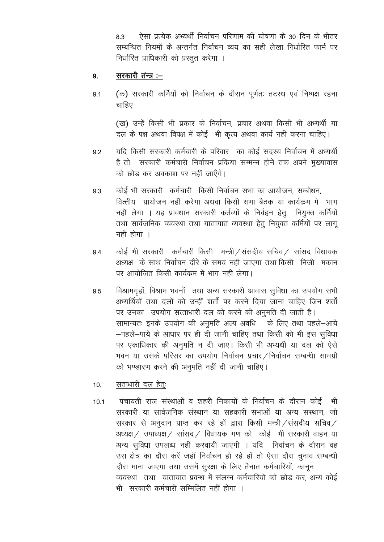ऐसा प्रत्येक अभ्यर्थी निर्वाचन परिणाम की घोषणा के 30 दिन के भीतर 83 सम्बन्धित नियमों के अन्तर्गत निर्वाचन व्यय का सही लेखा निर्धारित फार्म पर निर्धारित प्राधिकारी को प्रस्तत करेगा ।

#### सरकारी तंन्त्र :–  $9<sub>1</sub>$

(क) सरकारी कर्मियों को निर्वाचन के दौरान पर्णतः तटस्थ एवं निष्पक्ष रहना  $9.1$ चाहिए

(ख) उन्हें किसी भी प्रकार के निर्वाचन, प्रचार अथवा किसी भी अभ्यर्थी या दल के पक्ष अथवा विपक्ष में कोई भी कृत्य अथवा कार्य नहीं करना चाहिए।

- यदि किसी सरकारी कर्मचारी के परिवार का कोई सदस्य निर्वाचन में अभ्यर्थी  $9.2$ है तो सरकारी कर्मचारी निर्वाचन प्रक्रिया सम्मन्न होने तक अपने मुख्यावास को छोड़ कर अवकाश पर नहीं जाएँगे।
- कोई भी सरकारी कर्मचारी किसी निर्वाचन सभा का आयोजन, सम्बोधन, 9.3 वित्तीय प्रायोजन नहीं करेगा अथवा किसी सभा बैठक या कार्यक्रम में भाग नहीं लेगा । यह प्रावधान सरकारी कर्तव्यों के निर्वहन हेत नियक्त कर्मियों तथा सार्वजनिक व्यवस्था तथा यातायात व्यवस्था हेतू नियुक्त कर्मियों पर लागू नहीं होगा ।
- कोई भी सरकारी कर्मचारी किसी मन्त्री / संसदीय सचिव / सांसद विधायक 9.4 अध्यक्ष) के साथ निर्वाचन दौरे के समय नही जाएगा तथा किसी निजी मकान पर आयोजित किसी कार्यक्रम में भाग नही लेगा।
- विश्रामगृहों, विश्राम भवनों तथा अन्य सरकारी आवास सुविधा का उपयोग सभी 9.5 अभ्यर्थियों तथा दलों को उन्हीं शर्तो पर करने दिया जाना चाहिए जिन शर्तों पर उनका उपयोग सत्ताधारी दल को करने की अनुमति दी जाती है। सामान्यतः इनके उपयोग की अनुमति अल्प अवधि के लिए तथा पहले-आये -पहले-पाये के आधार पर ही दी जानी चाहिए तथा किसी को भी इस सुविधा पर एकाधिकार की अनुमति न दी जाए। किसी भी अभ्यर्थी या दल को ऐसे भवन या उसके परिसर का उपयोग निर्वाचन प्रचार /निर्वाचन सम्बन्धी सामग्री को भण्डारण करने की अनुमति नहीं दी जानी चाहिए।
- सताधारी दल हेत:  $10<sub>1</sub>$
- पंचायती राज संस्थाओं व शहरी निकायों के निर्वाचन के दौरान कोई भी  $10.1$ सरकारी या सार्वजनिक संस्थान या सहकारी सभाओं या अन्य संस्थान, जो सरकार से अनुदान प्राप्त कर रहे हों द्वारा किसी मन्त्री / संसदीय सचिव / अध्यक्ष / उपाध्यक्ष / सांसद / विधायक गण को कोई भी सरकारी वाहन या अन्य सुविधा उपलब्ध नहीं करवायी जाएगी । यदि निर्वाचन के दौरान वह उस क्षेत्र का दौरा करें जहाँ निर्वाचन हो रहे हों तो ऐसा दौरा चुनाव सम्बन्धी दौरा माना जाएगा तथा उसमें सुरक्षा के लिए तैनात कर्मचारियों, कानून व्यवस्था तथा यातायात प्रवन्ध में संलग्न कर्मचारियों को छोड़ कर, अन्य कोई भी सरकारी कर्मचारी सम्मिलित नहीं होगा ।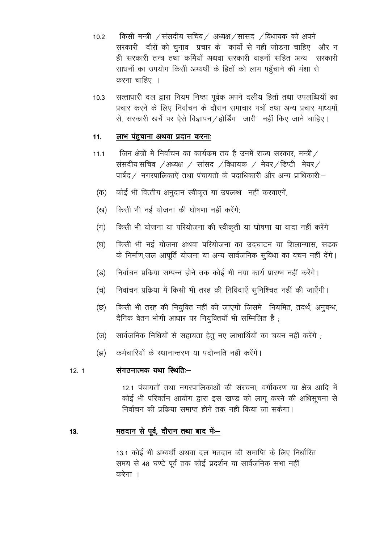किसी मन्त्री  $\angle$ संसदीय सचिव $\angle$  अध्यक्ष $\angle$ सांसद  $\angle$ विधायक को अपने  $10.2$ सरकारी दौरों को चुनाव प्रचार के कार्यों से नही जोडना चाहिए और न ही सरकारी तन्त्र तथा कर्मियों अथवा सरकारी वाहनों सहित अन्य सरकारी साधनों का उपयोग किसी अभ्यर्थी के हितों को लाभ पहुँचाने की मंशा से करना चाहिए ।

सत्ताधारी दल द्वारा नियम निष्ठा पूर्वक अपने दलीय हितों तथा उपलब्धियों का  $10.3$ प्रचार करने के लिए निर्वाचन के दौरान समाचार पत्रों तथा अन्य प्रचार माध्यमों से. सरकारी खर्चे पर ऐसे विज्ञापन / होर्डिंग जारी नहीं किए जाने चाहिए ।

#### लाभ पंहुचाना अथवा प्रदान करनाः  $11.$

- जिन क्षेत्रों मे निर्वाचन का कार्यक्रम तय है उनमें राज्य सरकार, मन्त्री /  $111$ संसदीय सचिव $\sqrt{3}$ अध्यक्ष / सांसद / विधायक / मेयर/डिप्टी मेयर/ पार्षद / नगरपालिकाऐं तथा पंचायतो के पदाधिकारी और अन्य प्राधिकारी:--
- कोई भी वित्तीय अनुदान स्वीकृत या उपलब्ध नहीं करवाएगें, (क)
- किसी भी नई योजना की घोषणा नहीं करेंगे: (ख)
- किसी भी योजना या परियोजना की स्वीकृती या घोषणा या वादा नहीं करेंगे  $(\pi)$
- $(\overline{z})$ किसी भी नई योजना अथवा परियोजना का उदघाटन या शिलान्यास, सडक के निर्माण,जल आपूर्ति योजना या अन्य सार्वजनिक सुविधा का वचन नहीं देंगे।
- निर्वाचन प्रक्रिया सम्पन्न होने तक कोई भी नया कार्य प्रारम्भ नहीं करेंगे। (ड)
- (च) निर्वाचन प्रक्रिया में किसी भी तरह की निविदाएँ सुनिश्चित नहीं की जाएँगी।
- किसी भी तरह की नियुक्ति नहीं की जाएगी जिसमें नियमित, तदर्थ, अनुबन्ध, (छ) दैनिक वेतन भोगी आधार पर नियुक्तियाँ भी सम्मिलित है;
- सार्वजनिक निधियों से सहायता हेतु नए लाभार्थियों का चयन नहीं करेंगे ;  $(\overline{v})$
- कर्मचारियों के स्थानान्तरण या पदोन्नति नहीं करेंगे। (झ)

#### संगठनात्मक यथा स्थितिः- $12.1$

12.1 पंचायतों तथा नगरपालिकाओं की संरचना, वर्गीकरण या क्षेत्र आदि में कोई भी परिवर्तन आयोग द्वारा इस खण्ड को लागू करने की अधिसूचना से निर्वाचन की प्रक्रिया समाप्त होने तक नही किया जा सकेगा।

#### <u>मतदान से पूर्व, दौरान तथा बाद में--</u> 13.

13.1 कोई भी अभ्यर्थी अथवा दल मतदान की समाप्ति के लिए निर्धारित समय से 48 घण्टे पर्व तक कोई प्रदर्शन या सार्वजनिक सभा नहीं करेगा ।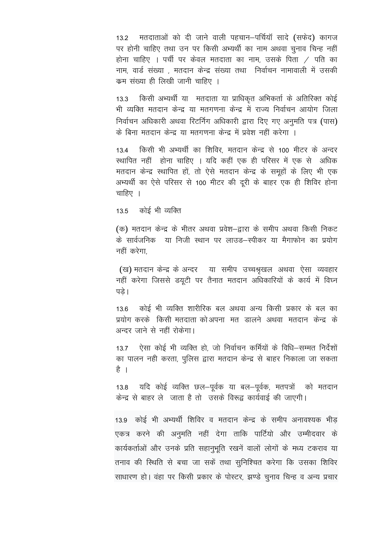मतदाताओं को दी जाने वाली पहचान-पर्चियॉ सादे (सफेद) कागज  $13.2$ पर होनी चाहिए तथा उन पर किसी अभ्यर्थी का नाम अथवा चुनाव चिन्ह नहीं होना चाहिए । पर्ची पर केवल मतदाता का नाम, उसके पिता  $\neq$  पति का नाम, वार्ड संख्या , मतदान केन्द्र संख्या तथा निर्वाचन नामावाली में उसकी कम संख्या ही लिखी जानी चाहिए ।

किसी अभ्यर्थी या मतदाता या प्राधिकृत अभिकर्ता के अतिरिक्त कोई  $13.3$ भी व्यक्ति मतदान केन्द्र या मतगणना केन्द्र में राज्य निर्वाचन आयोग जिला निर्वाचन अधिकारी अथवा रिटर्निग अधिकारी द्वारा दिए गए अनुमति पत्र (पास) के बिना मतदान केन्द्र या मतगणना केन्द्र में प्रवेश नहीं करेगा ।

किसी भी अभ्यर्थी का शिविर, मतदान केन्द्र से 100 मीटर के अन्दर 13.4 स्थापित नहीं होना चाहिए । यदि कहीं एक ही परिसर में एक से अधिक मतदान केन्द्र स्थापित हों, तो ऐसे मतदान केन्द्र के समूहों के लिए भी एक अभ्यर्थी का ऐसे परिसर से 100 मीटर की दूरी के बाहर एक ही शिविर होना चाहिए ।

कोई भी व्यक्ति  $13.5$ 

(क) मतदान केन्द्र के भीतर अथवा प्रवेश–द्वारा के समीप अथवा किसी निकट के सार्वजनिक या निजी स्थान पर लाउड–स्पीकर या मैगाफोन का प्रयोग नहीं करेगा

(ख) मतदान केन्द्र के अन्दर वया समीप उच्चश्रृखल अथवा ऐसा व्यवहार नहीं करेगा जिससे डयूटी पर तैनात मतदान अधिकारियों के कार्य में विघ्न पडे।

कोई भी व्यक्ति शारीरिक बल अथवा अन्य किसी प्रकार के बल का  $136$ प्रयोग करके) किसी मतदाता कोअपना मत डालने अथवा मतदान केन्द्र के अन्दर जाने से नहीं रोकेगा।

 $13.7$ ऐसा कोई भी व्यक्ति हो, जो निर्वाचन कर्मियों के विधि–सम्मत निर्देशों का पालन नही करता, पुलिस द्वारा मतदान केन्द्र से बाहर निकाला जा सकता है ।

यदि कोई व्यक्ति छल-पूर्वक या बल-पूर्वक, मतपत्रों को मतदान  $13.8$ केन्द्र से बाहर लेजाता है तो उसके विरूद्व कार्यवाई की जाएगी।

13.9 कोई भी अभ्यर्थी शिविर व मतदान केन्द्र के समीप अनावश्यक भीड एकत्र करने की अनुमति नहीं देगा ताकि पार्टियो और उम्मीदवार के कार्यकर्ताओं और उनके प्रति सहानुभूति रखनें वालों लोगों के मध्य टकराव या तनाव की स्थिति से बचा जा सकें तथा सुनिश्चित करेगा कि उसका शिविर साधारण हो। वंहा पर किसी प्रकार के पोस्टर, झण्डे चुनाव चिन्ह व अन्य प्रचार